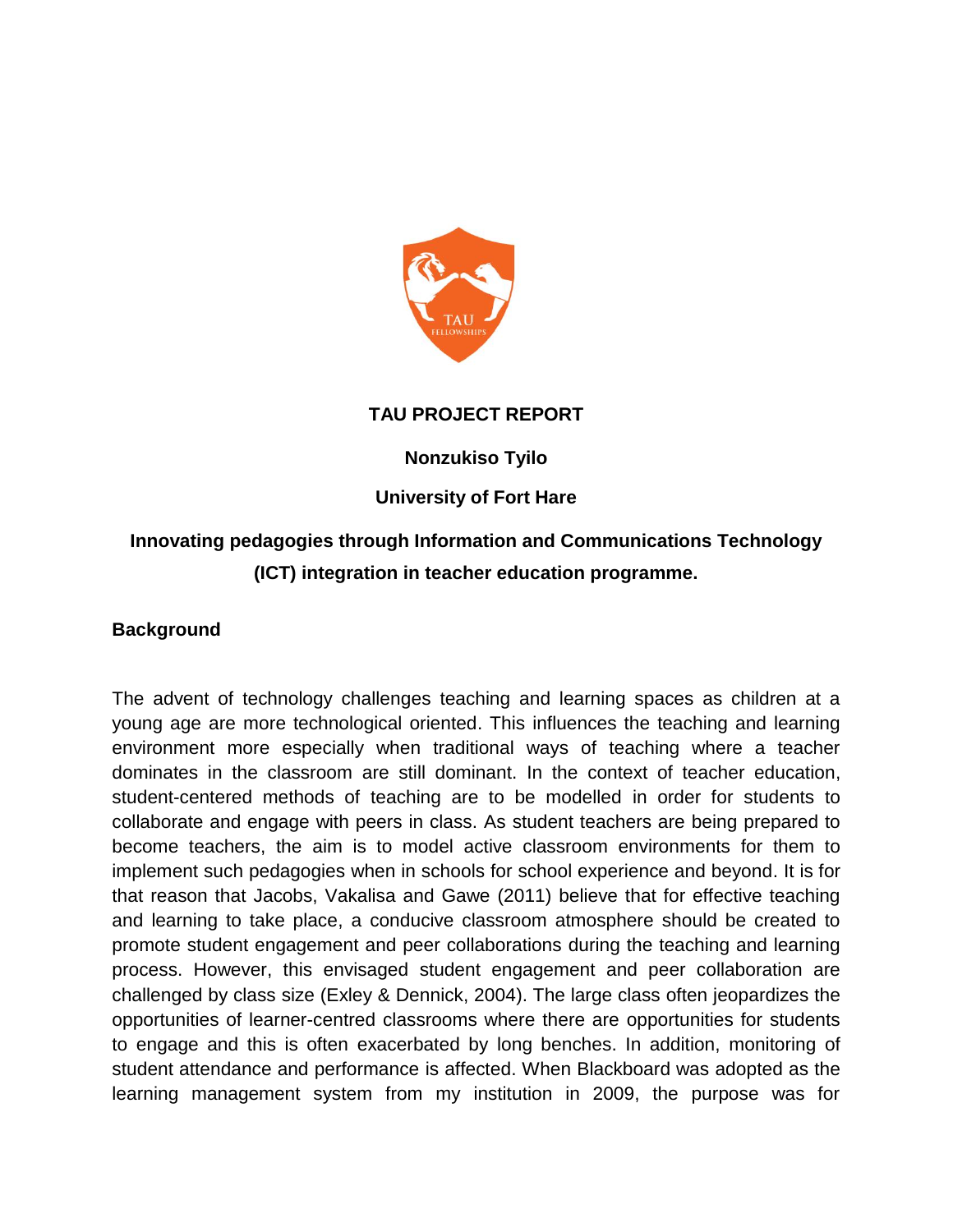

## **TAU PROJECT REPORT**

### **Nonzukiso Tyilo**

## **University of Fort Hare**

# **Innovating pedagogies through Information and Communications Technology (ICT) integration in teacher education programme.**

#### **Background**

The advent of technology challenges teaching and learning spaces as children at a young age are more technological oriented. This influences the teaching and learning environment more especially when traditional ways of teaching where a teacher dominates in the classroom are still dominant. In the context of teacher education, student-centered methods of teaching are to be modelled in order for students to collaborate and engage with peers in class. As student teachers are being prepared to become teachers, the aim is to model active classroom environments for them to implement such pedagogies when in schools for school experience and beyond. It is for that reason that Jacobs, Vakalisa and Gawe (2011) believe that for effective teaching and learning to take place, a conducive classroom atmosphere should be created to promote student engagement and peer collaborations during the teaching and learning process. However, this envisaged student engagement and peer collaboration are challenged by class size (Exley & Dennick, 2004). The large class often jeopardizes the opportunities of learner-centred classrooms where there are opportunities for students to engage and this is often exacerbated by long benches. In addition, monitoring of student attendance and performance is affected. When Blackboard was adopted as the learning management system from my institution in 2009, the purpose was for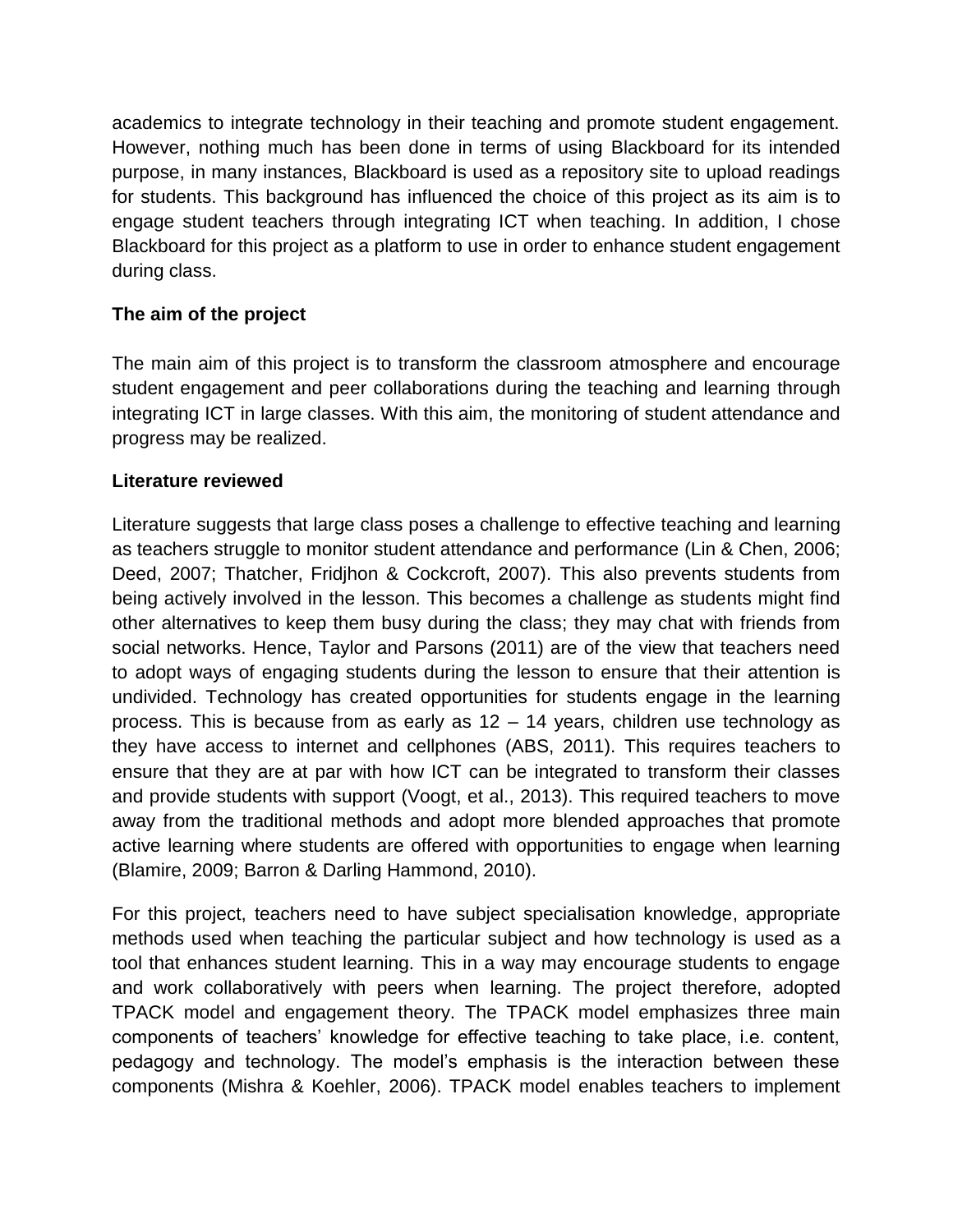academics to integrate technology in their teaching and promote student engagement. However, nothing much has been done in terms of using Blackboard for its intended purpose, in many instances, Blackboard is used as a repository site to upload readings for students. This background has influenced the choice of this project as its aim is to engage student teachers through integrating ICT when teaching. In addition, I chose Blackboard for this project as a platform to use in order to enhance student engagement during class.

# **The aim of the project**

The main aim of this project is to transform the classroom atmosphere and encourage student engagement and peer collaborations during the teaching and learning through integrating ICT in large classes. With this aim, the monitoring of student attendance and progress may be realized.

## **Literature reviewed**

Literature suggests that large class poses a challenge to effective teaching and learning as teachers struggle to monitor student attendance and performance (Lin & Chen, 2006; Deed, 2007; Thatcher, Fridjhon & Cockcroft, 2007). This also prevents students from being actively involved in the lesson. This becomes a challenge as students might find other alternatives to keep them busy during the class; they may chat with friends from social networks. Hence, Taylor and Parsons (2011) are of the view that teachers need to adopt ways of engaging students during the lesson to ensure that their attention is undivided. Technology has created opportunities for students engage in the learning process. This is because from as early as 12 – 14 years, children use technology as they have access to internet and cellphones (ABS, 2011). This requires teachers to ensure that they are at par with how ICT can be integrated to transform their classes and provide students with support (Voogt, et al., 2013). This required teachers to move away from the traditional methods and adopt more blended approaches that promote active learning where students are offered with opportunities to engage when learning (Blamire, 2009; Barron & Darling Hammond, 2010).

For this project, teachers need to have subject specialisation knowledge, appropriate methods used when teaching the particular subject and how technology is used as a tool that enhances student learning. This in a way may encourage students to engage and work collaboratively with peers when learning. The project therefore, adopted TPACK model and engagement theory. The TPACK model emphasizes three main components of teachers' knowledge for effective teaching to take place, i.e. content, pedagogy and technology. The model's emphasis is the interaction between these components (Mishra & Koehler, 2006). TPACK model enables teachers to implement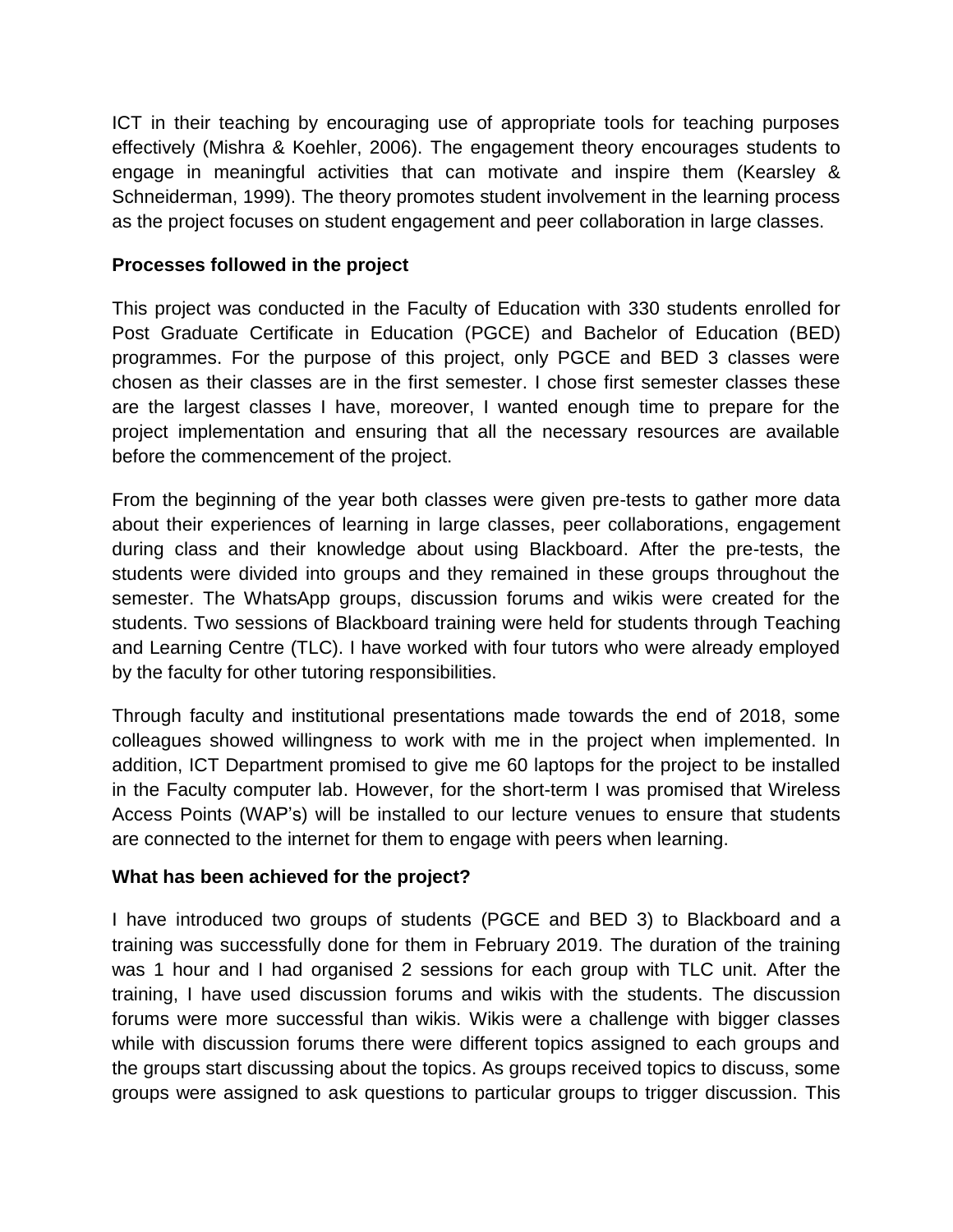ICT in their teaching by encouraging use of appropriate tools for teaching purposes effectively (Mishra & Koehler, 2006). The engagement theory encourages students to engage in meaningful activities that can motivate and inspire them (Kearsley & Schneiderman, 1999). The theory promotes student involvement in the learning process as the project focuses on student engagement and peer collaboration in large classes.

#### **Processes followed in the project**

This project was conducted in the Faculty of Education with 330 students enrolled for Post Graduate Certificate in Education (PGCE) and Bachelor of Education (BED) programmes. For the purpose of this project, only PGCE and BED 3 classes were chosen as their classes are in the first semester. I chose first semester classes these are the largest classes I have, moreover, I wanted enough time to prepare for the project implementation and ensuring that all the necessary resources are available before the commencement of the project.

From the beginning of the year both classes were given pre-tests to gather more data about their experiences of learning in large classes, peer collaborations, engagement during class and their knowledge about using Blackboard. After the pre-tests, the students were divided into groups and they remained in these groups throughout the semester. The WhatsApp groups, discussion forums and wikis were created for the students. Two sessions of Blackboard training were held for students through Teaching and Learning Centre (TLC). I have worked with four tutors who were already employed by the faculty for other tutoring responsibilities.

Through faculty and institutional presentations made towards the end of 2018, some colleagues showed willingness to work with me in the project when implemented. In addition, ICT Department promised to give me 60 laptops for the project to be installed in the Faculty computer lab. However, for the short-term I was promised that Wireless Access Points (WAP's) will be installed to our lecture venues to ensure that students are connected to the internet for them to engage with peers when learning.

#### **What has been achieved for the project?**

I have introduced two groups of students (PGCE and BED 3) to Blackboard and a training was successfully done for them in February 2019. The duration of the training was 1 hour and I had organised 2 sessions for each group with TLC unit. After the training, I have used discussion forums and wikis with the students. The discussion forums were more successful than wikis. Wikis were a challenge with bigger classes while with discussion forums there were different topics assigned to each groups and the groups start discussing about the topics. As groups received topics to discuss, some groups were assigned to ask questions to particular groups to trigger discussion. This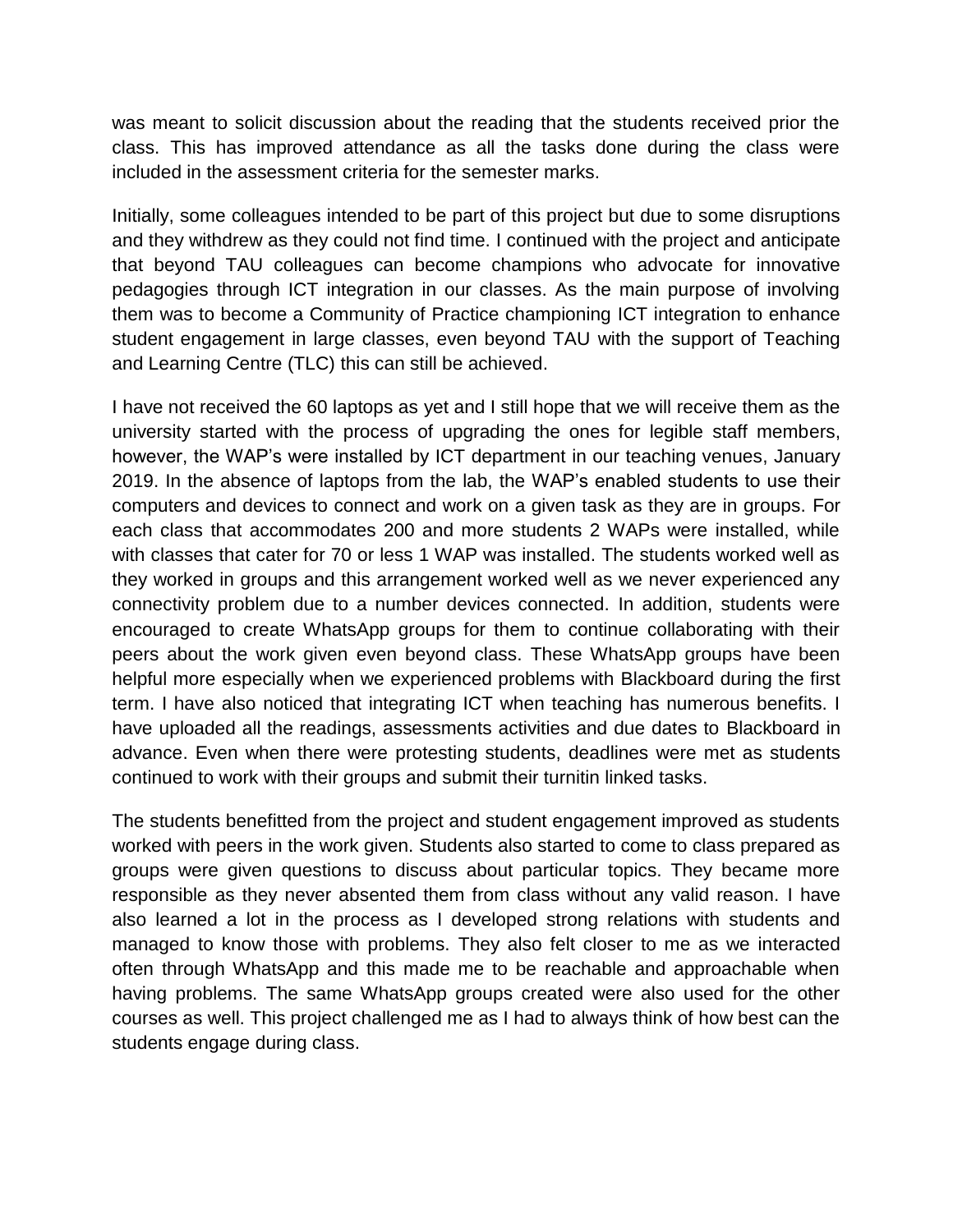was meant to solicit discussion about the reading that the students received prior the class. This has improved attendance as all the tasks done during the class were included in the assessment criteria for the semester marks.

Initially, some colleagues intended to be part of this project but due to some disruptions and they withdrew as they could not find time. I continued with the project and anticipate that beyond TAU colleagues can become champions who advocate for innovative pedagogies through ICT integration in our classes. As the main purpose of involving them was to become a Community of Practice championing ICT integration to enhance student engagement in large classes, even beyond TAU with the support of Teaching and Learning Centre (TLC) this can still be achieved.

I have not received the 60 laptops as yet and I still hope that we will receive them as the university started with the process of upgrading the ones for legible staff members, however, the WAP's were installed by ICT department in our teaching venues, January 2019. In the absence of laptops from the lab, the WAP's enabled students to use their computers and devices to connect and work on a given task as they are in groups. For each class that accommodates 200 and more students 2 WAPs were installed, while with classes that cater for 70 or less 1 WAP was installed. The students worked well as they worked in groups and this arrangement worked well as we never experienced any connectivity problem due to a number devices connected. In addition, students were encouraged to create WhatsApp groups for them to continue collaborating with their peers about the work given even beyond class. These WhatsApp groups have been helpful more especially when we experienced problems with Blackboard during the first term. I have also noticed that integrating ICT when teaching has numerous benefits. I have uploaded all the readings, assessments activities and due dates to Blackboard in advance. Even when there were protesting students, deadlines were met as students continued to work with their groups and submit their turnitin linked tasks.

The students benefitted from the project and student engagement improved as students worked with peers in the work given. Students also started to come to class prepared as groups were given questions to discuss about particular topics. They became more responsible as they never absented them from class without any valid reason. I have also learned a lot in the process as I developed strong relations with students and managed to know those with problems. They also felt closer to me as we interacted often through WhatsApp and this made me to be reachable and approachable when having problems. The same WhatsApp groups created were also used for the other courses as well. This project challenged me as I had to always think of how best can the students engage during class.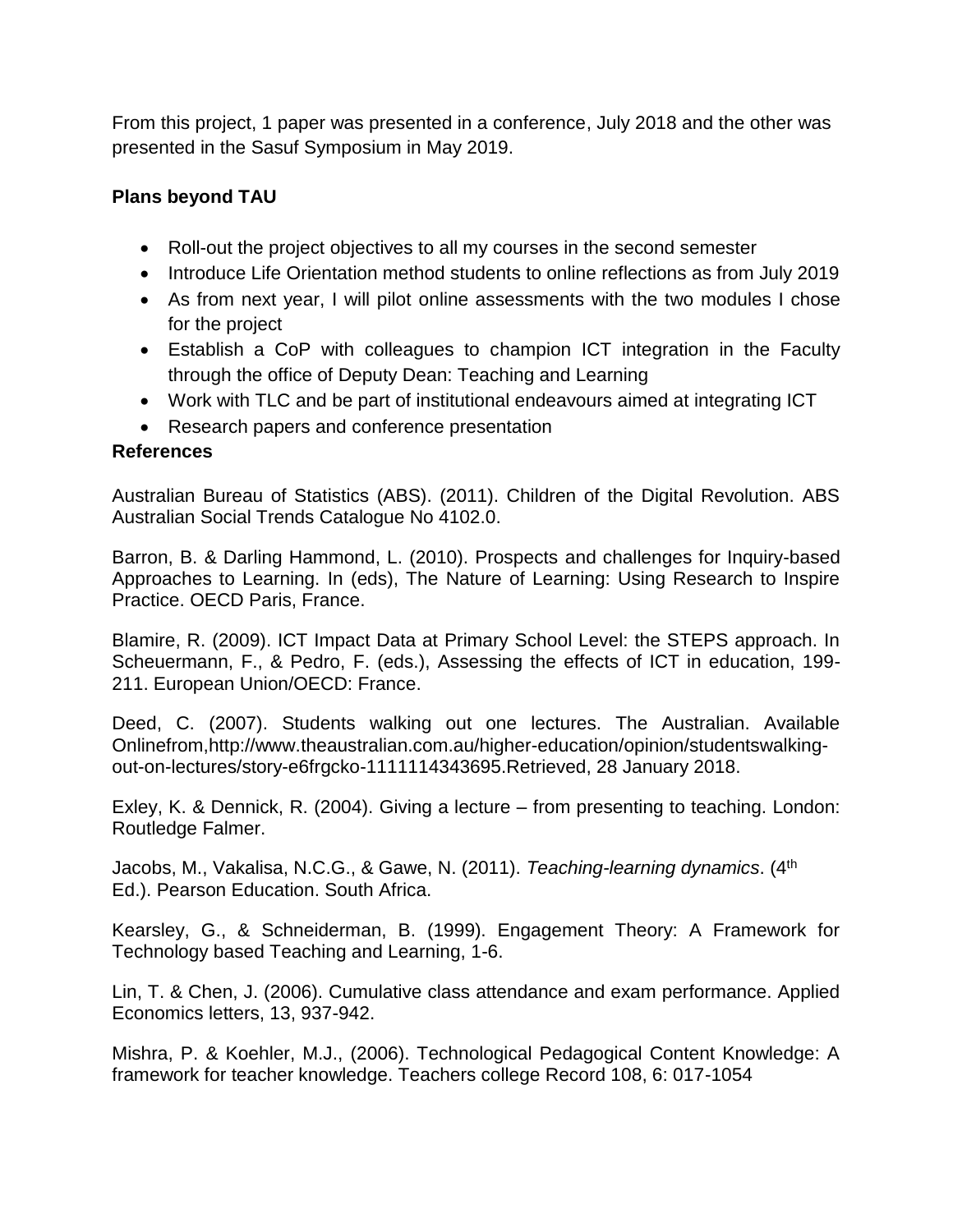From this project, 1 paper was presented in a conference, July 2018 and the other was presented in the Sasuf Symposium in May 2019.

# **Plans beyond TAU**

- Roll-out the project objectives to all my courses in the second semester
- Introduce Life Orientation method students to online reflections as from July 2019
- As from next year, I will pilot online assessments with the two modules I chose for the project
- Establish a CoP with colleagues to champion ICT integration in the Faculty through the office of Deputy Dean: Teaching and Learning
- Work with TLC and be part of institutional endeavours aimed at integrating ICT
- Research papers and conference presentation

# **References**

Australian Bureau of Statistics (ABS). (2011). Children of the Digital Revolution. ABS Australian Social Trends Catalogue No 4102.0.

Barron, B. & Darling Hammond, L. (2010). Prospects and challenges for Inquiry-based Approaches to Learning. In (eds), The Nature of Learning: Using Research to Inspire Practice. OECD Paris, France.

Blamire, R. (2009). ICT Impact Data at Primary School Level: the STEPS approach. In Scheuermann, F., & Pedro, F. (eds.), Assessing the effects of ICT in education, 199- 211. European Union/OECD: France.

Deed, C. (2007). Students walking out one lectures. The Australian. Available Onlinefrom,http://www.theaustralian.com.au/higher-education/opinion/studentswalkingout-on-lectures/story-e6frgcko-1111114343695.Retrieved, 28 January 2018.

Exley, K. & Dennick, R. (2004). Giving a lecture – from presenting to teaching. London: Routledge Falmer.

Jacobs, M., Vakalisa, N.C.G., & Gawe, N. (2011). *Teaching-learning dynamics*. (4th Ed.). Pearson Education. South Africa.

Kearsley, G., & Schneiderman, B. (1999). Engagement Theory: A Framework for Technology based Teaching and Learning, 1-6.

Lin, T. & Chen, J. (2006). Cumulative class attendance and exam performance. Applied Economics letters, 13, 937-942.

Mishra, P. & Koehler, M.J., (2006). Technological Pedagogical Content Knowledge: A framework for teacher knowledge. Teachers college Record 108, 6: 017-1054